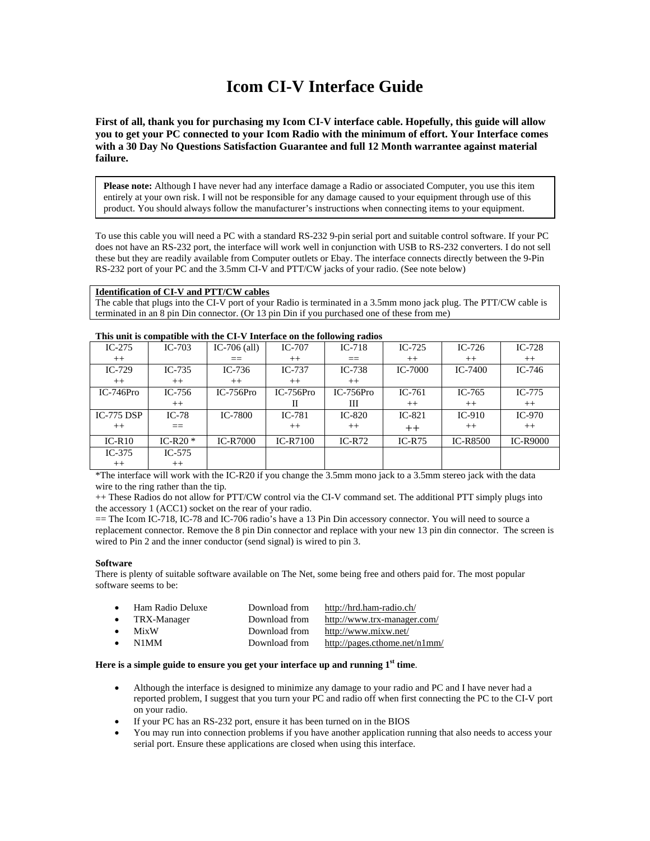# **Icom CI-V Interface Guide**

**First of all, thank you for purchasing my Icom CI-V interface cable. Hopefully, this guide will allow you to get your PC connected to your Icom Radio with the minimum of effort. Your Interface comes with a 30 Day No Questions Satisfaction Guarantee and full 12 Month warrantee against material failure.** 

**Please note:** Although I have never had any interface damage a Radio or associated Computer, you use this item entirely at your own risk. I will not be responsible for any damage caused to your equipment through use of this product. You should always follow the manufacturer's instructions when connecting items to your equipment.

To use this cable you will need a PC with a standard RS-232 9-pin serial port and suitable control software. If your PC does not have an RS-232 port, the interface will work well in conjunction with USB to RS-232 converters. I do not sell these but they are readily available from Computer outlets or Ebay. The interface connects directly between the 9-Pin RS-232 port of your PC and the 3.5mm CI-V and PTT/CW jacks of your radio. (See note below)

#### **Identification of CI-V and PTT/CW cables**

The cable that plugs into the CI-V port of your Radio is terminated in a 3.5mm mono jack plug. The PTT/CW cable is terminated in an 8 pin Din connector. (Or 13 pin Din if you purchased one of these from me)

| $IC-275$     | $IC-703$   | IC-706 $\alpha$ ll) | $IC-707$        | $IC-718$    | $IC-725$       | $IC-726$        | $IC-728$        |
|--------------|------------|---------------------|-----------------|-------------|----------------|-----------------|-----------------|
| $++$         |            |                     | $++$            | $==$        | $++$           | $++$            | $++$            |
| $IC-729$     | $IC-735$   | $IC-736$            | $IC-737$        | $IC-738$    | <b>IC-7000</b> | $IC-7400$       | IC-746          |
| $++$         | $++$       | $++$                | $++$            | $++$        |                |                 |                 |
| $IC-746Pro$  | $IC-756$   | $IC-756Pro$         | $IC-756Pro$     | $IC-756Pro$ | $IC-761$       | IC- $765$       | $IC-775$        |
|              | $++$       |                     | H               | Ш           | $++$           | $++$            | $++$            |
| IC-775 $DSP$ | $IC-78$    | IC-7800             | $IC-781$        | $IC-820$    | $IC-821$       | $IC-910$        | $IC-970$        |
| $++$         |            |                     | $++$            | $++$        | $++$           | $^{++}$         | $++$            |
| $IC-R10$     | IC-R20 $*$ | <b>IC-R7000</b>     | <b>IC-R7100</b> | $IC-R72$    | $IC-R75$       | <b>IC-R8500</b> | <b>IC-R9000</b> |
| $IC-375$     | $IC-575$   |                     |                 |             |                |                 |                 |
| $++$         | $++$       |                     |                 |             |                |                 |                 |

#### **This unit is compatible with the CI-V Interface on the following radios**

\*The interface will work with the IC-R20 if you change the 3.5mm mono jack to a 3.5mm stereo jack with the data wire to the ring rather than the tip.

++ These Radios do not allow for PTT/CW control via the CI-V command set. The additional PTT simply plugs into the accessory 1 (ACC1) socket on the rear of your radio.

== The Icom IC-718, IC-78 and IC-706 radio's have a 13 Pin Din accessory connector. You will need to source a replacement connector. Remove the 8 pin Din connector and replace with your new 13 pin din connector. The screen is wired to Pin 2 and the inner conductor (send signal) is wired to pin 3.

#### **Software**

There is plenty of suitable software available on The Net, some being free and others paid for. The most popular software seems to be:

| $\bullet$ | Ham Radio Deluxe | Download from | http://hrd.ham-radio.ch/      |
|-----------|------------------|---------------|-------------------------------|
|           | TRX-Manager      | Download from | http://www.trx-manager.com/   |
|           | <b>MixW</b>      | Download from | http://www.mixw.net/          |
|           | N1MM             | Download from | http://pages.cthome.net/n1mm/ |

#### **Here is a simple guide to ensure you get your interface up and running 1st time**.

- Although the interface is designed to minimize any damage to your radio and PC and I have never had a reported problem, I suggest that you turn your PC and radio off when first connecting the PC to the CI-V port on your radio.
- If your PC has an RS-232 port, ensure it has been turned on in the BIOS
- You may run into connection problems if you have another application running that also needs to access your serial port. Ensure these applications are closed when using this interface.